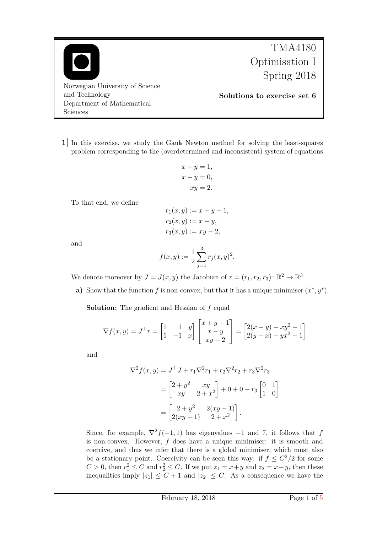Norwegian University of Science and Technology Department of Mathematical Sciences

TMA4180 Optimisation I Spring 2018

Solutions to exercise set 6

1 In this exercise, we study the Gauß–Newton method for solving the least-squares problem corresponding to the (overdetermined and inconsistent) system of equations

$$
x + y = 1,
$$
  
\n
$$
x - y = 0,
$$
  
\n
$$
xy = 2.
$$

To that end, we define

$$
r_1(x, y) := x + y - 1,
$$
  
\n
$$
r_2(x, y) := x - y,
$$
  
\n
$$
r_3(x, y) := xy - 2,
$$

and

$$
f(x,y):=\frac{1}{2}\sum_{j=1}^3 r_j(x,y)^2.
$$

We denote moreover by  $J = J(x, y)$  the Jacobian of  $r = (r_1, r_2, r_3) : \mathbb{R}^2 \to \mathbb{R}^3$ .

a) Show that the function f is non-convex, but that it has a unique minimiser  $(x^*, y^*)$ .

**Solution:** The gradient and Hessian of  $f$  equal

$$
\nabla f(x,y) = J^{\top} r = \begin{bmatrix} 1 & 1 & y \\ 1 & -1 & x \end{bmatrix} \begin{bmatrix} x+y-1 \\ x-y \\ xy-2 \end{bmatrix} = \begin{bmatrix} 2(x-y) + xy^2 - 1 \\ 2(y-x) + yx^2 - 1 \end{bmatrix}
$$

and

$$
\nabla^2 f(x, y) = J^\top J + r_1 \nabla^2 r_1 + r_2 \nabla^2 r_2 + r_3 \nabla^2 r_3
$$
  
=  $\begin{bmatrix} 2 + y^2 & xy \\ xy & 2 + x^2 \end{bmatrix} + 0 + 0 + r_3 \begin{bmatrix} 0 & 1 \\ 1 & 0 \end{bmatrix}$   
=  $\begin{bmatrix} 2 + y^2 & 2(xy - 1) \\ 2(xy - 1) & 2 + x^2 \end{bmatrix}.$ 

Since, for example,  $\nabla^2 f(-1, 1)$  has eigenvalues -1 and 7, it follows that f is non-convex. However, f does have a unique minimiser: it is smooth and coercive, and thus we infer that there is a global minimiser, which must also be a stationary point. Coercivity can be seen this way: if  $f \n\t\leq C^2/2$  for some  $C > 0$ , then  $r_1^2 \leq C$  and  $r_2^2 \leq C$ . If we put  $z_1 = x + y$  and  $z_2 = x - y$ , then these inequalities imply  $|z_1| \leq C + 1$  and  $|z_2| \leq C$ . As a consequence we have the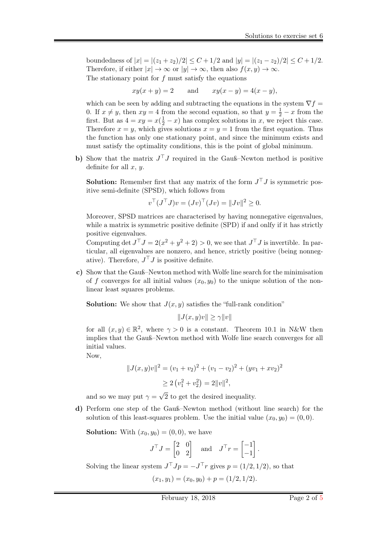boundedness of  $|x| = |(z_1 + z_2)/2| \leq C + 1/2$  and  $|y| = |(z_1 - z_2)/2| \leq C + 1/2$ . Therefore, if either  $|x| \to \infty$  or  $|y| \to \infty$ , then also  $f(x, y) \to \infty$ . The stationary point for  $f$  must satisfy the equations

 $xy(x + y) = 2$  and  $xy(x - y) = 4(x - y)$ ,

which can be seen by adding and subtracting the equations in the system  $\nabla f =$ 0. If  $x \neq y$ , then  $xy = 4$  from the second equation, so that  $y = \frac{1}{2} - x$  from the first. But as  $4 = xy = x(\frac{1}{2} - x)$  has complex solutions in x, we reject this case. Therefore  $x = y$ , which gives solutions  $x = y = 1$  from the first equation. Thus the function has only one stationary point, and since the minimum exists and must satisfy the optimality conditions, this is the point of global minimum.

b) Show that the matrix  $J^{\top}J$  required in the Gauß–Newton method is positive definite for all  $x, y$ .

**Solution:** Remember first that any matrix of the form  $J^{\top}J$  is symmetric positive semi-definite (SPSD), which follows from

$$
v^{\top} (J^{\top} J) v = (Jv)^{\top} (Jv) = ||Jv||^2 \ge 0.
$$

Moreover, SPSD matrices are characterised by having nonnegative eigenvalues, while a matrix is symmetric positive definite (SPD) if and onlfy if it has strictly positive eigenvalues.

Computing det  $J^{\top}J = 2(x^2 + y^2 + 2) > 0$ , we see that  $J^{\top}J$  is invertible. In particular, all eigenvalues are nonzero, and hence, strictly positive (being nonnegative). Therefore,  $J^{\top}J$  is positive definite.

c) Show that the Gauß–Newton method with Wolfe line search for the minimisation of f converges for all initial values  $(x_0, y_0)$  to the unique solution of the nonlinear least squares problems.

**Solution:** We show that  $J(x, y)$  satisfies the "full-rank condition"

$$
||J(x,y)v|| \ge \gamma ||v||
$$

for all  $(x, y) \in \mathbb{R}^2$ , where  $\gamma > 0$  is a constant. Theorem 10.1 in N&W then implies that the Gauß–Newton method with Wolfe line search converges for all initial values.

Now,

$$
||J(x,y)v||2 = (v1 + v2)2 + (v1 - v2)2 + (yv1 + xv2)2
$$
  
\n
$$
\geq 2 (v12 + v22) = 2||v||2,
$$

and so we may put  $\gamma =$ √ 2 to get the desired inequality.

d) Perform one step of the Gauß–Newton method (without line search) for the solution of this least-squares problem. Use the initial value  $(x_0, y_0) = (0, 0)$ .

**Solution:** With  $(x_0, y_0) = (0, 0)$ , we have

$$
J^{\top} J = \begin{bmatrix} 2 & 0 \\ 0 & 2 \end{bmatrix} \quad \text{and} \quad J^{\top} r = \begin{bmatrix} -1 \\ -1 \end{bmatrix}.
$$

Solving the linear system  $J^{\top}Jp = -J^{\top}r$  gives  $p = (1/2, 1/2)$ , so that

$$
(x_1, y_1) = (x_0, y_0) + p = (1/2, 1/2).
$$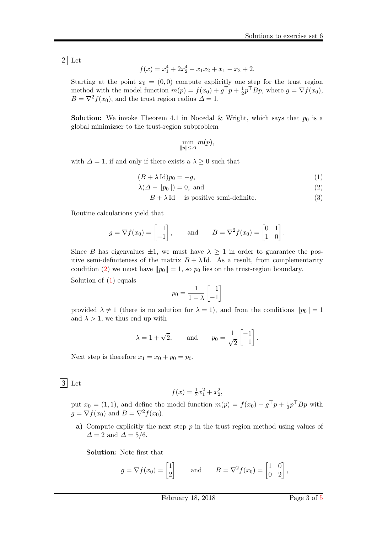2 Let

$$
f(x) = x_1^4 + 2x_2^4 + x_1x_2 + x_1 - x_2 + 2.
$$

Starting at the point  $x_0 = (0,0)$  compute explicitly one step for the trust region method with the model function  $m(p) = f(x_0) + g^{\top}p + \frac{1}{2}$  $\frac{1}{2}p^{\top}Bp$ , where  $g = \nabla f(x_0)$ ,  $B = \nabla^2 f(x_0)$ , and the trust region radius  $\Delta = 1$ .

**Solution:** We invoke Theorem 4.1 in Nocedal & Wright, which says that  $p_0$  is a global minimizser to the trust-region subproblem

<span id="page-2-2"></span><span id="page-2-1"></span><span id="page-2-0"></span>
$$
\min_{\|p\| \le \Delta} m(p),
$$

with  $\Delta = 1$ , if and only if there exists a  $\lambda \geq 0$  such that

$$
(B + \lambda \operatorname{Id})p_0 = -g,\tag{1}
$$

$$
\lambda(\Delta - \|p_0\|) = 0, \text{ and} \tag{2}
$$

$$
B + \lambda \operatorname{Id} \quad \text{is positive semi-definite.} \tag{3}
$$

Routine calculations yield that

$$
g = \nabla f(x_0) = \begin{bmatrix} 1 \\ -1 \end{bmatrix}
$$
, and  $B = \nabla^2 f(x_0) = \begin{bmatrix} 0 & 1 \\ 1 & 0 \end{bmatrix}$ .

Since B has eigenvalues  $\pm 1$ , we must have  $\lambda \geq 1$  in order to guarantee the positive semi-definiteness of the matrix  $B + \lambda Id$ . As a result, from complementarity condition [\(2\)](#page-2-0) we must have  $||p_0|| = 1$ , so  $p_0$  lies on the trust-region boundary.

Solution of  $(1)$  equals

$$
p_0 = \frac{1}{1 - \lambda} \begin{bmatrix} 1 \\ -1 \end{bmatrix}
$$

provided  $\lambda \neq 1$  (there is no solution for  $\lambda = 1$ ), and from the conditions  $||p_0|| = 1$ and  $\lambda > 1$ , we thus end up with

$$
\lambda = 1 + \sqrt{2}
$$
, and  $p_0 = \frac{1}{\sqrt{2}} \begin{bmatrix} -1 \\ 1 \end{bmatrix}$ .

Next step is therefore  $x_1 = x_0 + p_0 = p_0$ .

 $|3|$  Let

$$
f(x) = \frac{1}{2}x_1^2 + x_2^2,
$$

put  $x_0 = (1, 1)$ , and define the model function  $m(p) = f(x_0) + g^{\top}p + \frac{1}{2}$  $\frac{1}{2}p^{\top}Bp$  with  $g = \nabla f(x_0)$  and  $B = \nabla^2 f(x_0)$ .

a) Compute explicitly the next step  $p$  in the trust region method using values of  $\Delta = 2$  and  $\Delta = 5/6$ .

Solution: Note first that

$$
g = \nabla f(x_0) = \begin{bmatrix} 1 \\ 2 \end{bmatrix}
$$
 and  $B = \nabla^2 f(x_0) = \begin{bmatrix} 1 & 0 \\ 0 & 2 \end{bmatrix}$ ,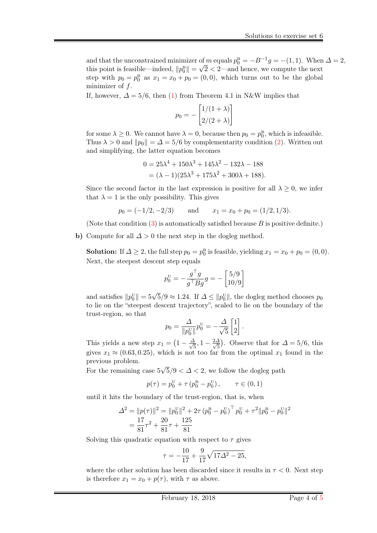and that the unconstrained minimizer of m equals  $p_0^B = -B^{-1}g = -(1, 1)$ . When  $\Delta = 2$ , this point is feasible—indeed,  $||p_0^{\text{B}}|| = \sqrt{2} < 2$ —and hence, we compute the next step with  $p_0 = p_0^B$  as  $x_1 = x_0 + p_0 = (0, 0)$ , which turns out to be the global minimizer of  $f$ .

If, however,  $\Delta = 5/6$ , then [\(1\)](#page-2-1) from Theorem 4.1 in N&W implies that

$$
p_0 = -\begin{bmatrix} 1/(1+\lambda) \\ 2/(2+\lambda) \end{bmatrix}
$$

for some  $\lambda \geq 0$ . We cannot have  $\lambda = 0$ , because then  $p_0 = p_0^B$ , which is infeasible. Thus  $\lambda > 0$  and  $||p_0|| = \Delta = 5/6$  by complementarity condition [\(2\)](#page-2-0). Written out and simplifying, the latter equation becomes

$$
0 = 25\lambda^4 + 150\lambda^3 + 145\lambda^2 - 132\lambda - 188
$$
  
=  $(\lambda - 1)(25\lambda^3 + 175\lambda^2 + 300\lambda + 188).$ 

Since the second factor in the last expression is positive for all  $\lambda \geq 0$ , we infer that  $\lambda = 1$  is the only possibility. This gives

$$
p_0 = (-1/2, -2/3)
$$
 and  $x_1 = x_0 + p_0 = (1/2, 1/3).$ 

(Note that condition  $(3)$  is automatically satisfied because B is positive definite.)

b) Compute for all  $\Delta > 0$  the next step in the dogleg method.

**Solution:** If  $\Delta \geq 2$ , the full step  $p_0 = p_0^B$  is feasible, yielding  $x_1 = x_0 + p_0 = (0, 0)$ . Next, the steepest descent step equals

$$
p_0^{\rm U}=-\frac{g^\top g}{g^\top B g}g=-\begin{bmatrix}5/9\\10/9\end{bmatrix}
$$

and satisfies  $||p_0^{\text{U}}|| = 5\sqrt{5}/9 \approx 1.24$ . If  $\Delta \le ||p_0^{\text{U}}||$ , the dogleg method chooses  $p_0$ to lie on the "steepest descent trajectory", scaled to lie on the boundary of the trust-region, so that

$$
p_0 = \frac{\Delta}{\|p_0^{\text{U}}\|} p_0^{\text{U}} = -\frac{\Delta}{\sqrt{5}} \begin{bmatrix} 1 \\ 2 \end{bmatrix}.
$$

This yields a new step  $x_1 = \left(1 - \frac{\Delta}{\sqrt{2}}\right)$  $\frac{1}{5}$ , 1 –  $\frac{2\Delta}{\sqrt{5}}$  $\frac{4}{5}$ ). Observe that for  $\Delta = 5/6$ , this gives  $x_1 \approx (0.63, 0.25)$ , which is not too far from the optimal  $x_1$  found in the previous problem. √

For the remaining case 5  $5/9 < \Delta < 2$ , we follow the dogleg path

$$
p(\tau) = p_0^{\mathrm{U}} + \tau \left( p_0^{\mathrm{B}} - p_0^{\mathrm{U}} \right), \qquad \tau \in (0, 1)
$$

until it hits the boundary of the trust-region, that is, when

$$
\Delta^{2} = ||p(\tau)||^{2} = ||p_{0}^{U}||^{2} + 2\tau (p_{0}^{B} - p_{0}^{U})^{\top} p_{0}^{U} + \tau^{2} ||p_{0}^{B} - p_{0}^{U}||^{2}
$$
  
= 
$$
\frac{17}{81} \tau^{2} + \frac{20}{81} \tau + \frac{125}{81}
$$

Solving this quadratic equation with respect to  $\tau$  gives

$$
\tau = -\frac{10}{17} + \frac{9}{17}\sqrt{17\Delta^2 - 25},
$$

where the other solution has been discarded since it results in  $\tau < 0$ . Next step is therefore  $x_1 = x_0 + p(\tau)$ , with  $\tau$  as above.